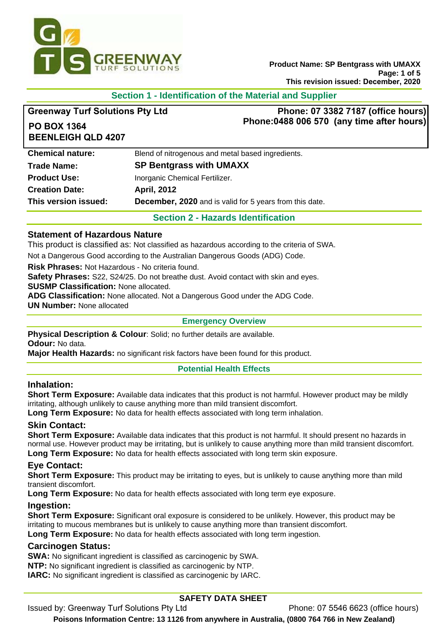

**Product Name: SP Bentgrass with UMAXX Page: 1 of 5 This revision issued: December, 2020**

# **Section 1 - Identification of the Material and Supplier**

| <b>Greenway Turf Solutions Pty Ltd</b>          | Phone: 07 3382 7187 (office hours)                             |
|-------------------------------------------------|----------------------------------------------------------------|
| <b>PO BOX 1364</b><br><b>BEENLEIGH QLD 4207</b> | Phone: 0488 006 570 (any time after hours)                     |
| <b>Chemical nature:</b>                         | Blend of nitrogenous and metal based ingredients.              |
| <b>Trade Name:</b>                              | <b>SP Bentgrass with UMAXX</b>                                 |
| <b>Product Use:</b>                             | Inorganic Chemical Fertilizer.                                 |
| <b>Creation Date:</b>                           | <b>April, 2012</b>                                             |
| This version issued:                            | <b>December, 2020</b> and is valid for 5 years from this date. |
|                                                 | <b>Section 2 - Hazards Identification</b>                      |

#### **Statement of Hazardous Nature**

This product is classified as: Not classified as hazardous according to the criteria of SWA.

Not a Dangerous Good according to the Australian Dangerous Goods (ADG) Code.

**Risk Phrases:** Not Hazardous - No criteria found.

**Safety Phrases:** S22, S24/25. Do not breathe dust. Avoid contact with skin and eyes.

**SUSMP Classification:** None allocated.

**ADG Classification:** None allocated. Not a Dangerous Good under the ADG Code.

**UN Number:** None allocated

#### **Emergency Overview**

**Physical Description & Colour:** Solid; no further details are available. **Odour:** No data.

**Major Health Hazards:** no significant risk factors have been found for this product.

#### **Potential Health Effects**

### **Inhalation:**

**Short Term Exposure:** Available data indicates that this product is not harmful. However product may be mildly irritating, although unlikely to cause anything more than mild transient discomfort.

**Long Term Exposure:** No data for health effects associated with long term inhalation.

#### **Skin Contact:**

**Short Term Exposure:** Available data indicates that this product is not harmful. It should present no hazards in normal use. However product may be irritating, but is unlikely to cause anything more than mild transient discomfort. **Long Term Exposure:** No data for health effects associated with long term skin exposure.

### **Eye Contact:**

**Short Term Exposure:** This product may be irritating to eyes, but is unlikely to cause anything more than mild transient discomfort.

**Long Term Exposure:** No data for health effects associated with long term eye exposure.

#### **Ingestion:**

**Short Term Exposure:** Significant oral exposure is considered to be unlikely. However, this product may be irritating to mucous membranes but is unlikely to cause anything more than transient discomfort.

**Long Term Exposure:** No data for health effects associated with long term ingestion.

### **Carcinogen Status:**

**SWA:** No significant ingredient is classified as carcinogenic by SWA.

**NTP:** No significant ingredient is classified as carcinogenic by NTP.

**IARC:** No significant ingredient is classified as carcinogenic by IARC.

# **SAFETY DATA SHEET**

Issued by: Greenway Turf Solutions Pty Ltd Phone: 07 5546 6623 (office hours)

**Poisons Information Centre: 13 1126 from anywhere in Australia, (0800 764 766 in New Zealand)**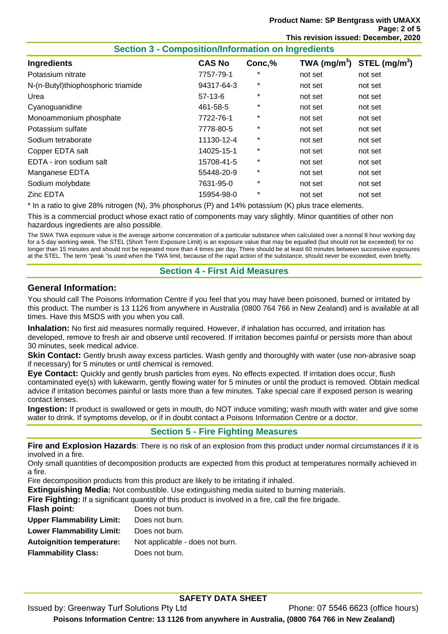| <b>Section 3 - Composition/Information on Ingredients</b> |               |          |         |                                                    |
|-----------------------------------------------------------|---------------|----------|---------|----------------------------------------------------|
| <b>Ingredients</b>                                        | <b>CAS No</b> | Conc,%   |         | TWA (mg/m <sup>3</sup> ) STEL (mg/m <sup>3</sup> ) |
| Potassium nitrate                                         | 7757-79-1     | *        | not set | not set                                            |
| N-(n-Butyl)thiophosphoric triamide                        | 94317-64-3    | *        | not set | not set                                            |
| Urea                                                      | $57-13-6$     | $\star$  | not set | not set                                            |
| Cyanoguanidine                                            | 461-58-5      | $^\star$ | not set | not set                                            |
| Monoammonium phosphate                                    | 7722-76-1     | $\star$  | not set | not set                                            |
| Potassium sulfate                                         | 7778-80-5     | $^\star$ | not set | not set                                            |
| Sodium tetraborate                                        | 11130-12-4    | $\star$  | not set | not set                                            |
| Copper EDTA salt                                          | 14025-15-1    | $\star$  | not set | not set                                            |
| EDTA - iron sodium salt                                   | 15708-41-5    | *        | not set | not set                                            |
| Manganese EDTA                                            | 55448-20-9    | $\star$  | not set | not set                                            |
| Sodium molybdate                                          | 7631-95-0     | $^\star$ | not set | not set                                            |
| Zinc EDTA                                                 | 15954-98-0    | $\star$  | not set | not set                                            |
|                                                           |               |          |         |                                                    |

\* In a ratio to give 28% nitrogen (N), 3% phosphorus (P) and 14% potassium (K) plus trace elements.

This is a commercial product whose exact ratio of components may vary slightly. Minor quantities of other non hazardous ingredients are also possible.

The SWA TWA exposure value is the average airborne concentration of a particular substance when calculated over a normal 8 hour working day for a 5 day working week. The STEL (Short Term Exposure Limit) is an exposure value that may be equalled (but should not be exceeded) for no longer than 15 minutes and should not be repeated more than 4 times per day. There should be at least 60 minutes between successive exposures at the STEL. The term "peak "is used when the TWA limit, because of the rapid action of the substance, should never be exceeded, even briefly.

### **Section 4 - First Aid Measures**

#### **General Information:**

You should call The Poisons Information Centre if you feel that you may have been poisoned, burned or irritated by this product. The number is 13 1126 from anywhere in Australia (0800 764 766 in New Zealand) and is available at all times. Have this MSDS with you when you call.

**Inhalation:** No first aid measures normally required. However, if inhalation has occurred, and irritation has developed, remove to fresh air and observe until recovered. If irritation becomes painful or persists more than about 30 minutes, seek medical advice.

**Skin Contact:** Gently brush away excess particles. Wash gently and thoroughly with water (use non-abrasive soap if necessary) for 5 minutes or until chemical is removed.

**Eye Contact:** Quickly and gently brush particles from eyes. No effects expected. If irritation does occur, flush contaminated eye(s) with lukewarm, gently flowing water for 5 minutes or until the product is removed. Obtain medical advice if irritation becomes painful or lasts more than a few minutes. Take special care if exposed person is wearing contact lenses.

**Ingestion:** If product is swallowed or gets in mouth, do NOT induce vomiting; wash mouth with water and give some water to drink. If symptoms develop, or if in doubt contact a Poisons Information Centre or a doctor.

# **Section 5 - Fire Fighting Measures**

**Fire and Explosion Hazards**: There is no risk of an explosion from this product under normal circumstances if it is involved in a fire.

Only small quantities of decomposition products are expected from this product at temperatures normally achieved in a fire.

Fire decomposition products from this product are likely to be irritating if inhaled.

**Extinguishing Media:** Not combustible. Use extinguishing media suited to burning materials.

**Fire Fighting:** If a significant quantity of this product is involved in a fire, call the fire brigade.

| Flash point:                     | Does not burn.                  |
|----------------------------------|---------------------------------|
| <b>Upper Flammability Limit:</b> | Does not burn.                  |
| <b>Lower Flammability Limit:</b> | Does not burn.                  |
| <b>Autoignition temperature:</b> | Not applicable - does not burn. |
| <b>Flammability Class:</b>       | Does not burn.                  |
|                                  |                                 |

# **SAFETY DATA SHEET**

Issued by: Greenway Turf Solutions Pty Ltd Phone: 07 5546 6623 (office hours) **Poisons Information Centre: 13 1126 from anywhere in Australia, (0800 764 766 in New Zealand)**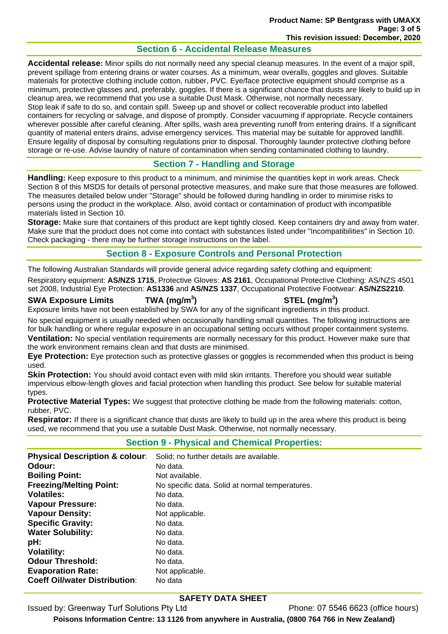# **Section 6 - Accidental Release Measures**

**Accidental release:** Minor spills do not normally need any special cleanup measures. In the event of a major spill, prevent spillage from entering drains or water courses. As a minimum, wear overalls, goggles and gloves. Suitable materials for protective clothing include cotton, rubber, PVC. Eye/face protective equipment should comprise as a minimum, protective glasses and, preferably, goggles. If there is a significant chance that dusts are likely to build up in cleanup area, we recommend that you use a suitable Dust Mask. Otherwise, not normally necessary.

Stop leak if safe to do so, and contain spill. Sweep up and shovel or collect recoverable product into labelled containers for recycling or salvage, and dispose of promptly. Consider vacuuming if appropriate. Recycle containers wherever possible after careful cleaning. After spills, wash area preventing runoff from entering drains. If a significant quantity of material enters drains, advise emergency services. This material may be suitable for approved landfill. Ensure legality of disposal by consulting regulations prior to disposal. Thoroughly launder protective clothing before storage or re-use. Advise laundry of nature of contamination when sending contaminated clothing to laundry.

# **Section 7 - Handling and Storage**

**Handling:** Keep exposure to this product to a minimum, and minimise the quantities kept in work areas. Check Section 8 of this MSDS for details of personal protective measures, and make sure that those measures are followed. The measures detailed below under "Storage" should be followed during handling in order to minimise risks to persons using the product in the workplace. Also, avoid contact or contamination of product with incompatible materials listed in Section 10.

**Storage:** Make sure that containers of this product are kept tightly closed. Keep containers dry and away from water. Make sure that the product does not come into contact with substances listed under "Incompatibilities" in Section 10. Check packaging - there may be further storage instructions on the label.

### **Section 8 - Exposure Controls and Personal Protection**

The following Australian Standards will provide general advice regarding safety clothing and equipment:

Respiratory equipment: **AS/NZS 1715**, Protective Gloves: **AS 2161**, Occupational Protective Clothing: AS/NZS 4501 set 2008, Industrial Eye Protection: **AS1336** and **AS/NZS 1337**, Occupational Protective Footwear: **AS/NZS2210**.

# **SWA Exposure Limits TWA (mg/m<sup>3</sup>**

### **) STEL (mg/m<sup>3</sup> )**

Exposure limits have not been established by SWA for any of the significant ingredients in this product.

No special equipment is usually needed when occasionally handling small quantities. The following instructions are for bulk handling or where regular exposure in an occupational setting occurs without proper containment systems. **Ventilation:** No special ventilation requirements are normally necessary for this product. However make sure that the work environment remains clean and that dusts are minimised.

**Eye Protection:** Eye protection such as protective glasses or goggles is recommended when this product is being used.

**Skin Protection:** You should avoid contact even with mild skin irritants. Therefore you should wear suitable impervious elbow-length gloves and facial protection when handling this product. See below for suitable material types.

**Protective Material Types:** We suggest that protective clothing be made from the following materials: cotton, rubber, PVC.

**Respirator:** If there is a significant chance that dusts are likely to build up in the area where this product is being used, we recommend that you use a suitable Dust Mask. Otherwise, not normally necessary.

### **Section 9 - Physical and Chemical Properties:**

| <b>Physical Description &amp; colour:</b> | Solid; no further details are available.        |
|-------------------------------------------|-------------------------------------------------|
| Odour:                                    | No data.                                        |
| <b>Boiling Point:</b>                     | Not available.                                  |
| <b>Freezing/Melting Point:</b>            | No specific data. Solid at normal temperatures. |
| <b>Volatiles:</b>                         | No data.                                        |
| <b>Vapour Pressure:</b>                   | No data.                                        |
| <b>Vapour Density:</b>                    | Not applicable.                                 |
| <b>Specific Gravity:</b>                  | No data.                                        |
| <b>Water Solubility:</b>                  | No data.                                        |
| pH:                                       | No data.                                        |
| <b>Volatility:</b>                        | No data.                                        |
| <b>Odour Threshold:</b>                   | No data.                                        |
| <b>Evaporation Rate:</b>                  | Not applicable.                                 |
| <b>Coeff Oil/water Distribution:</b>      | No data                                         |

### **SAFETY DATA SHEET**

Issued by: Greenway Turf Solutions Pty Ltd Phone: 07 5546 6623 (office hours)

**Poisons Information Centre: 13 1126 from anywhere in Australia, (0800 764 766 in New Zealand)**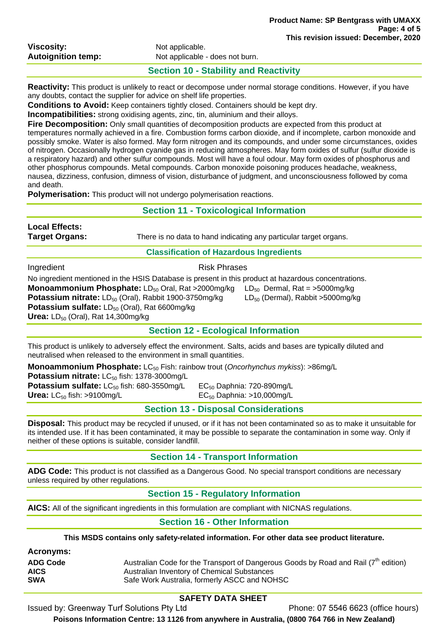| <b>Viscosity:</b>         |  |
|---------------------------|--|
| <b>Autoignition temp:</b> |  |

### **Section 10 - Stability and Reactivity**

**Reactivity:** This product is unlikely to react or decompose under normal storage conditions. However, if you have any doubts, contact the supplier for advice on shelf life properties.

**Conditions to Avoid:** Keep containers tightly closed. Containers should be kept dry.

**Incompatibilities:** strong oxidising agents, zinc, tin, aluminium and their alloys.

**Fire Decomposition:** Only small quantities of decomposition products are expected from this product at temperatures normally achieved in a fire. Combustion forms carbon dioxide, and if incomplete, carbon monoxide and possibly smoke. Water is also formed. May form nitrogen and its compounds, and under some circumstances, oxides of nitrogen. Occasionally hydrogen cyanide gas in reducing atmospheres. May form oxides of sulfur (sulfur dioxide is a respiratory hazard) and other sulfur compounds. Most will have a foul odour. May form oxides of phosphorus and other phosphorus compounds. Metal compounds. Carbon monoxide poisoning produces headache, weakness, nausea, dizziness, confusion, dimness of vision, disturbance of judgment, and unconsciousness followed by coma and death.

**Polymerisation:** This product will not undergo polymerisation reactions.

| <b>Section 11 - Toxicological Information</b>                                                                     |                                                                                                                                                                                                                                                                                                                           |  |
|-------------------------------------------------------------------------------------------------------------------|---------------------------------------------------------------------------------------------------------------------------------------------------------------------------------------------------------------------------------------------------------------------------------------------------------------------------|--|
| <b>Local Effects:</b><br>Target Organs:                                                                           | There is no data to hand indicating any particular target organs.                                                                                                                                                                                                                                                         |  |
|                                                                                                                   | <b>Classification of Hazardous Ingredients</b>                                                                                                                                                                                                                                                                            |  |
| Ingredient                                                                                                        | <b>Risk Phrases</b>                                                                                                                                                                                                                                                                                                       |  |
| <b>Potassium sulfate:</b> $LD_{50}$ (Oral), Rat 6600mg/kg<br>Urea: $LD_{50}$ (Oral), Rat 14,300mg/kg              | No ingredient mentioned in the HSIS Database is present in this product at hazardous concentrations.<br>Monoammonium Phosphate: LD <sub>50</sub> Oral, Rat >2000mg/kg<br>$LD_{50}$ Dermal, Rat = >5000mg/kg<br>Potassium nitrate: LD <sub>50</sub> (Oral), Rabbit 1900-3750mg/kg<br>$LD_{50}$ (Dermal), Rabbit >5000mg/kg |  |
|                                                                                                                   | <b>Section 12 - Ecological Information</b>                                                                                                                                                                                                                                                                                |  |
|                                                                                                                   | This product is unlikely to adversely effect the environment. Salts, acids and bases are typically diluted and<br>neutralised when released to the environment in small quantities.                                                                                                                                       |  |
| Potassium nitrate: LC <sub>50</sub> fish: 1378-3000mg/L<br>Potassium sulfate: LC <sub>50</sub> fish: 680-3550mg/L | <b>Monoammonium Phosphate:</b> LC <sub>50</sub> Fish: rainbow trout ( <i>Oncorhynchus mykiss</i> ): >86mg/L<br>$EC_{50}$ Daphnia: 720-890mg/L                                                                                                                                                                             |  |

**Urea:** LC<sub>50</sub> fish: >9100mg/L EC<sub>50</sub> Daphnia: >10,000mg/L

**Section 13 - Disposal Considerations** 

**Disposal:** This product may be recycled if unused, or if it has not been contaminated so as to make it unsuitable for its intended use. If it has been contaminated, it may be possible to separate the contamination in some way. Only if neither of these options is suitable, consider landfill.

# **Section 14 - Transport Information**

**ADG Code:** This product is not classified as a Dangerous Good. No special transport conditions are necessary unless required by other regulations.

# **Section 15 - Regulatory Information**

**AICS:** All of the significant ingredients in this formulation are compliant with NICNAS regulations.

# **Section 16 - Other Information**

**This MSDS contains only safety-related information. For other data see product literature.** 

**Acronyms:** 

| <b>ADG Code</b> | Australian Code for the Transport of Dangerous Goods by Road and Rail $(7^{th}$ edition) |
|-----------------|------------------------------------------------------------------------------------------|
| <b>AICS</b>     | Australian Inventory of Chemical Substances                                              |
| <b>SWA</b>      | Safe Work Australia, formerly ASCC and NOHSC                                             |

# **SAFETY DATA SHEET**

Issued by: Greenway Turf Solutions Pty Ltd Phone: 07 5546 6623 (office hours)

**Poisons Information Centre: 13 1126 from anywhere in Australia, (0800 764 766 in New Zealand)**